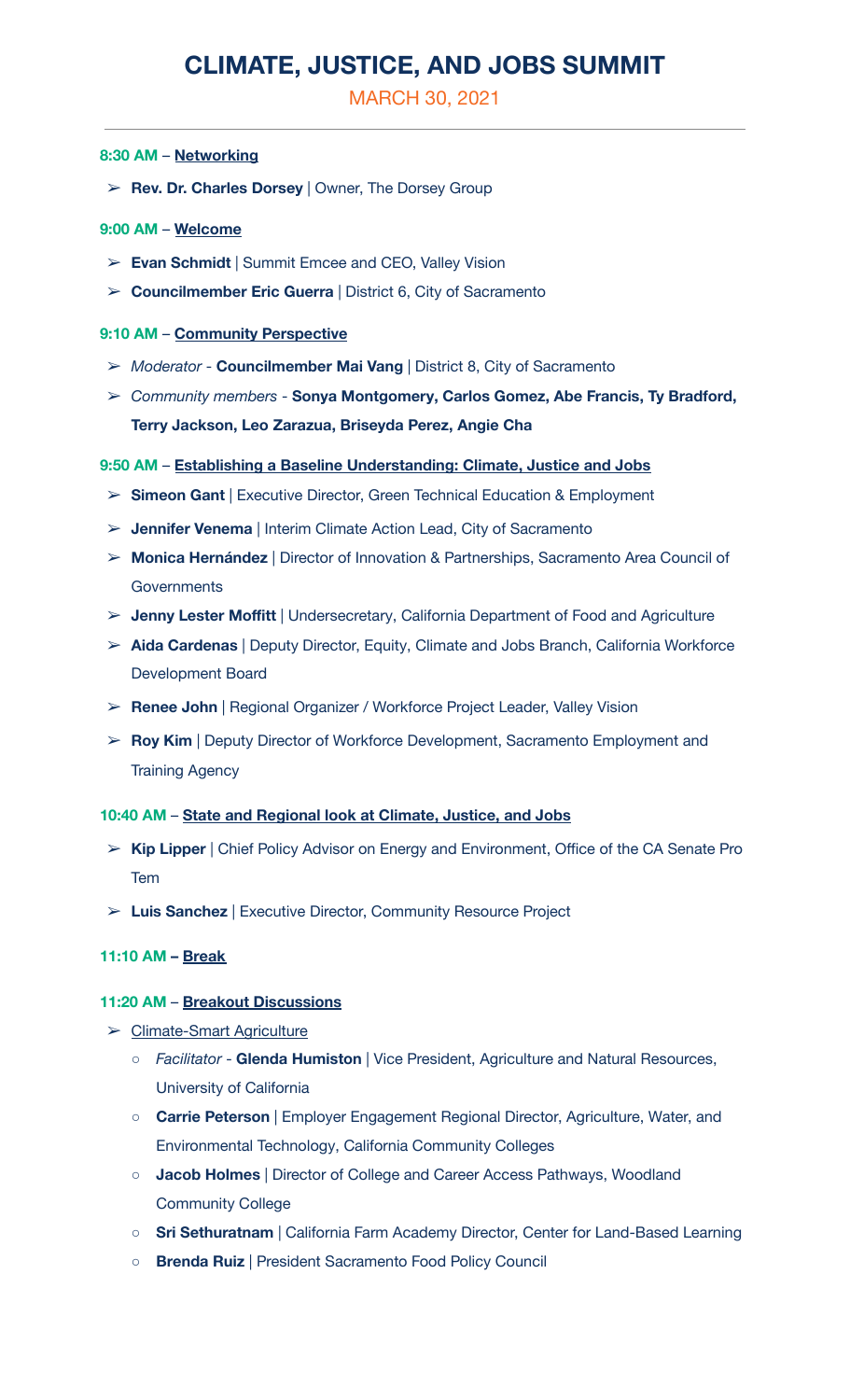# **CLIMATE, JUSTICE, AND JOBS SUMMIT**

MARCH 30, 2021

#### **8:30 AM** – **Networking**

➢ **Rev. Dr. Charles Dorsey** | Owner, The Dorsey Group

## **9:00 AM** – **Welcome**

- ➢ **Evan Schmidt** | Summit Emcee and CEO, Valley Vision
- ➢ **Councilmember Eric Guerra** | District 6, City of Sacramento

## **9:10 AM** – **Community Perspective**

- ➢ *Moderator* **Councilmember Mai Vang** | District 8, City of Sacramento
- ➢ *Community members* **Sonya Montgomery, Carlos Gomez, Abe Francis, Ty Bradford, Terry Jackson, Leo Zarazua, Briseyda Perez, Angie Cha**

#### **9:50 AM** – **Establishing a Baseline Understanding: Climate, Justice and Jobs**

- ➢ **Simeon Gant** | Executive Director, Green Technical Education & Employment
- ➢ **Jennifer Venema** | Interim Climate Action Lead, City of Sacramento
- ➢ **Monica Hernández** | Director of Innovation & Partnerships, Sacramento Area Council of **Governments**
- ➢ **Jenny Lester Moffitt** | Undersecretary, California Department of Food and Agriculture
- ➢ **Aida Cardenas** | Deputy Director, Equity, Climate and Jobs Branch, California Workforce Development Board
- ➢ **Renee John** | Regional Organizer / Workforce Project Leader, Valley Vision
- ➢ **Roy Kim** | Deputy Director of Workforce Development, Sacramento Employment and Training Agency

#### **10:40 AM** – **State and Regional look at Climate, Justice, and Jobs**

- ➢ **Kip Lipper** | Chief Policy Advisor on Energy and Environment, Office of the CA Senate Pro Tem
- ➢ **Luis Sanchez** | Executive Director, Community Resource Project

## **11:10 AM – Break**

#### **11:20 AM** – **Breakout Discussions**

- ➢ Climate-Smart Agriculture
	- *Facilitator* **Glenda Humiston** | Vice President, Agriculture and Natural Resources, University of California
	- **Carrie Peterson** | Employer Engagement Regional Director, Agriculture, Water, and Environmental Technology, California Community Colleges
	- **Jacob Holmes** | Director of College and Career Access Pathways, Woodland Community College
	- **Sri Sethuratnam** | California Farm Academy Director, Center for Land-Based Learning
	- **Brenda Ruiz** | President Sacramento Food Policy Council